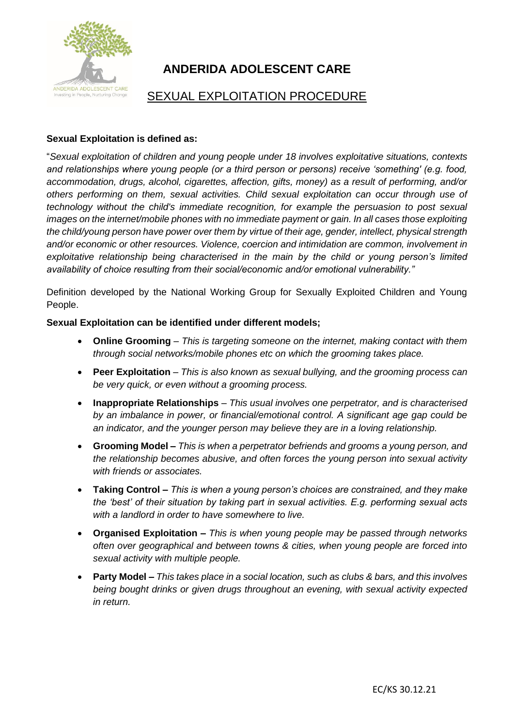

# **ANDERIDA ADOLESCENT CARE**

# SEXUAL EXPLOITATION PROCEDURE

## **Sexual Exploitation is defined as:**

"*Sexual exploitation of children and young people under 18 involves exploitative situations, contexts and relationships where young people (or a third person or persons) receive 'something' (e.g. food, accommodation, drugs, alcohol, cigarettes, affection, gifts, money) as a result of performing, and/or others performing on them, sexual activities. Child sexual exploitation can occur through use of technology without the child's immediate recognition, for example the persuasion to post sexual images on the internet/mobile phones with no immediate payment or gain. In all cases those exploiting the child/young person have power over them by virtue of their age, gender, intellect, physical strength and/or economic or other resources. Violence, coercion and intimidation are common, involvement in exploitative relationship being characterised in the main by the child or young person's limited availability of choice resulting from their social/economic and/or emotional vulnerability."*

Definition developed by the National Working Group for Sexually Exploited Children and Young People.

### **Sexual Exploitation can be identified under different models;**

- **Online Grooming** *This is targeting someone on the internet, making contact with them through social networks/mobile phones etc on which the grooming takes place.*
- **Peer Exploitation** *This is also known as sexual bullying, and the grooming process can be very quick, or even without a grooming process.*
- **Inappropriate Relationships** *This usual involves one perpetrator, and is characterised by an imbalance in power, or financial/emotional control. A significant age gap could be an indicator, and the younger person may believe they are in a loving relationship.*
- **Grooming Model –** *This is when a perpetrator befriends and grooms a young person, and the relationship becomes abusive, and often forces the young person into sexual activity with friends or associates.*
- **Taking Control –** *This is when a young person's choices are constrained, and they make the 'best' of their situation by taking part in sexual activities. E.g. performing sexual acts with a landlord in order to have somewhere to live.*
- **Organised Exploitation –** *This is when young people may be passed through networks often over geographical and between towns & cities, when young people are forced into sexual activity with multiple people.*
- **Party Model –** *This takes place in a social location, such as clubs & bars, and this involves being bought drinks or given drugs throughout an evening, with sexual activity expected in return.*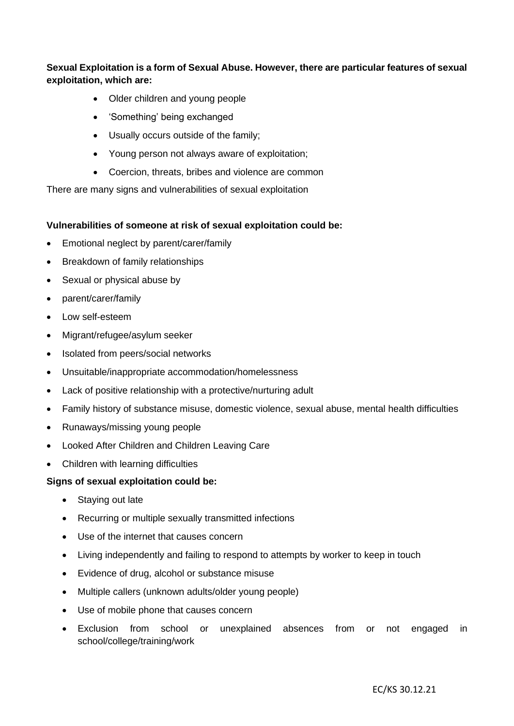**Sexual Exploitation is a form of Sexual Abuse. However, there are particular features of sexual exploitation, which are:** 

- Older children and young people
- 'Something' being exchanged
- Usually occurs outside of the family;
- Young person not always aware of exploitation;
- Coercion, threats, bribes and violence are common

There are many signs and vulnerabilities of sexual exploitation

#### **Vulnerabilities of someone at risk of sexual exploitation could be:**

- Emotional neglect by parent/carer/family
- Breakdown of family relationships
- Sexual or physical abuse by
- parent/carer/family
- Low self-esteem
- Migrant/refugee/asylum seeker
- Isolated from peers/social networks
- Unsuitable/inappropriate accommodation/homelessness
- Lack of positive relationship with a protective/nurturing adult
- Family history of substance misuse, domestic violence, sexual abuse, mental health difficulties
- Runaways/missing young people
- Looked After Children and Children Leaving Care
- Children with learning difficulties

#### **Signs of sexual exploitation could be:**

- Staying out late
- Recurring or multiple sexually transmitted infections
- Use of the internet that causes concern
- Living independently and failing to respond to attempts by worker to keep in touch
- Evidence of drug, alcohol or substance misuse
- Multiple callers (unknown adults/older young people)
- Use of mobile phone that causes concern
- Exclusion from school or unexplained absences from or not engaged in school/college/training/work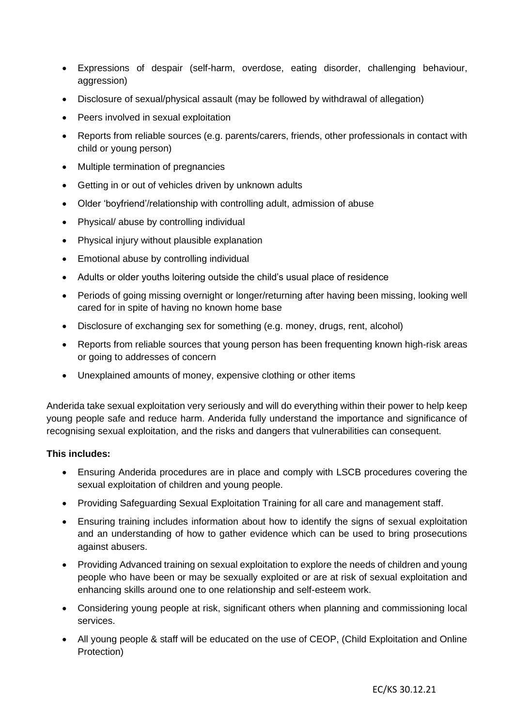- Expressions of despair (self-harm, overdose, eating disorder, challenging behaviour, aggression)
- Disclosure of sexual/physical assault (may be followed by withdrawal of allegation)
- Peers involved in sexual exploitation
- Reports from reliable sources (e.g. parents/carers, friends, other professionals in contact with child or young person)
- Multiple termination of pregnancies
- Getting in or out of vehicles driven by unknown adults
- Older 'boyfriend'/relationship with controlling adult, admission of abuse
- Physical/ abuse by controlling individual
- Physical injury without plausible explanation
- Emotional abuse by controlling individual
- Adults or older youths loitering outside the child's usual place of residence
- Periods of going missing overnight or longer/returning after having been missing, looking well cared for in spite of having no known home base
- Disclosure of exchanging sex for something (e.g. money, drugs, rent, alcohol)
- Reports from reliable sources that young person has been frequenting known high-risk areas or going to addresses of concern
- Unexplained amounts of money, expensive clothing or other items

Anderida take sexual exploitation very seriously and will do everything within their power to help keep young people safe and reduce harm. Anderida fully understand the importance and significance of recognising sexual exploitation, and the risks and dangers that vulnerabilities can consequent.

#### **This includes:**

- Ensuring Anderida procedures are in place and comply with LSCB procedures covering the sexual exploitation of children and young people.
- Providing Safeguarding Sexual Exploitation Training for all care and management staff.
- Ensuring training includes information about how to identify the signs of sexual exploitation and an understanding of how to gather evidence which can be used to bring prosecutions against abusers.
- Providing Advanced training on sexual exploitation to explore the needs of children and young people who have been or may be sexually exploited or are at risk of sexual exploitation and enhancing skills around one to one relationship and self-esteem work.
- Considering young people at risk, significant others when planning and commissioning local services.
- All young people & staff will be educated on the use of CEOP, (Child Exploitation and Online Protection)